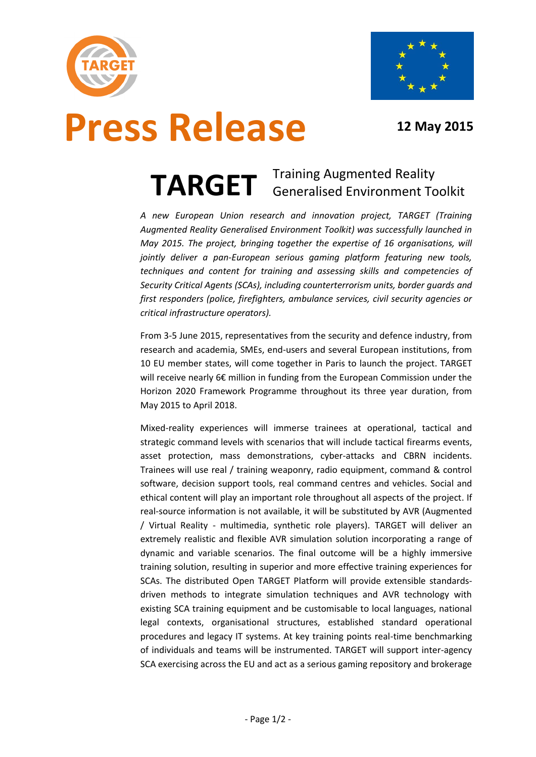



# **Press Release 12 May 2015**

### **TARGET** Training Augmented Reality Generalised Environment Toolkit

*A new European Union research and innovation project, TARGET (Training Augmented Reality Generalised Environment Toolkit) was successfully launched in May 2015. The project, bringing together the expertise of 16 organisations, will jointly deliver a pan-European serious gaming platform featuring new tools, techniques and content for training and assessing skills and competencies of Security Critical Agents (SCAs), including counterterrorism units, border guards and first responders (police, firefighters, ambulance services, civil security agencies or critical infrastructure operators).*

From 3-5 June 2015, representatives from the security and defence industry, from research and academia, SMEs, end-users and several European institutions, from 10 EU member states, will come together in Paris to launch the project. TARGET will receive nearly 6€ million in funding from the European Commission under the Horizon 2020 Framework Programme throughout its three year duration, from May 2015 to April 2018.

Mixed-reality experiences will immerse trainees at operational, tactical and strategic command levels with scenarios that will include tactical firearms events, asset protection, mass demonstrations, cyber-attacks and CBRN incidents. Trainees will use real / training weaponry, radio equipment, command & control software, decision support tools, real command centres and vehicles. Social and ethical content will play an important role throughout all aspects of the project. If real-source information is not available, it will be substituted by AVR (Augmented / Virtual Reality - multimedia, synthetic role players). TARGET will deliver an extremely realistic and flexible AVR simulation solution incorporating a range of dynamic and variable scenarios. The final outcome will be a highly immersive training solution, resulting in superior and more effective training experiences for SCAs. The distributed Open TARGET Platform will provide extensible standardsdriven methods to integrate simulation techniques and AVR technology with existing SCA training equipment and be customisable to local languages, national legal contexts, organisational structures, established standard operational procedures and legacy IT systems. At key training points real-time benchmarking of individuals and teams will be instrumented. TARGET will support inter-agency SCA exercising across the EU and act as a serious gaming repository and brokerage